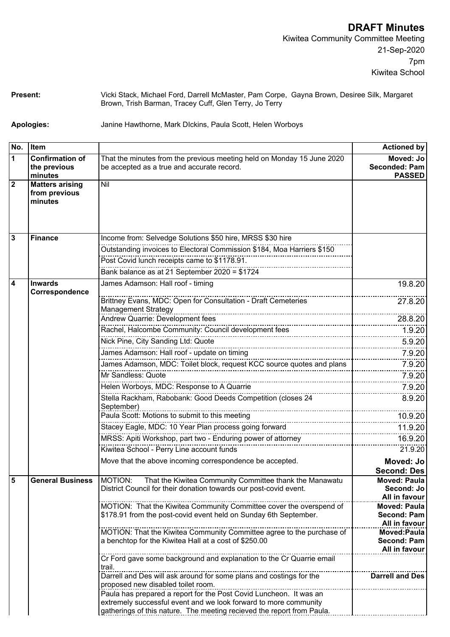**Present:** Vicki Stack, Michael Ford, Darrell McMaster, Pam Corpe, Gayna Brown, Desiree Silk, Margaret Brown, Trish Barman, Tracey Cuff, Glen Terry, Jo Terry

**Apologies:** Janine Hawthorne, Mark DIckins, Paula Scott, Helen Worboys

| No.            | ∣Item                                              |                                                                                                                                                                                                                  | <b>Actioned by</b>                                  |
|----------------|----------------------------------------------------|------------------------------------------------------------------------------------------------------------------------------------------------------------------------------------------------------------------|-----------------------------------------------------|
| 1              | <b>Confirmation of</b><br>the previous             | That the minutes from the previous meeting held on Monday 15 June 2020<br>be accepted as a true and accurate record.                                                                                             | Moved: Jo<br>Seconded: Pam                          |
|                | minutes                                            |                                                                                                                                                                                                                  | <b>PASSED</b>                                       |
| $\overline{2}$ | <b>Matters arising</b><br>from previous<br>minutes | Nil                                                                                                                                                                                                              |                                                     |
| 3              | <b>Finance</b>                                     | Income from: Selvedge Solutions \$50 hire, MRSS \$30 hire                                                                                                                                                        |                                                     |
|                |                                                    | Outstanding invoices to Electoral Commission \$184, Moa Harriers \$150                                                                                                                                           |                                                     |
|                |                                                    | Post Covid lunch receipts came to \$1178.91.                                                                                                                                                                     |                                                     |
|                |                                                    | Bank balance as at 21 September 2020 = \$1724                                                                                                                                                                    |                                                     |
| 4              | <b>Inwards</b><br>Correspondence                   | James Adamson: Hall roof - timing                                                                                                                                                                                | 19.8.20                                             |
|                |                                                    | Brittney Evans, MDC: Open for Consultation - Draft Cemeteries<br><b>Management Strategy</b>                                                                                                                      | 27.8.20                                             |
|                |                                                    | Andrew Quarrie: Development fees                                                                                                                                                                                 | 28.8.20                                             |
|                |                                                    |                                                                                                                                                                                                                  | 1.9.20                                              |
|                |                                                    | Nick Pine, City Sanding Ltd: Quote                                                                                                                                                                               | 5.9.20                                              |
|                |                                                    | James Adamson: Hall roof - update on timing                                                                                                                                                                      | 7.9.20                                              |
|                |                                                    |                                                                                                                                                                                                                  | 7.9.20                                              |
|                |                                                    | Mr Sandless: Quote                                                                                                                                                                                               | 7.9.20                                              |
|                |                                                    | Helen Worboys, MDC: Response to A Quarrie                                                                                                                                                                        | 7.9.20                                              |
|                |                                                    | Stella Rackham, Rabobank: Good Deeds Competition (closes 24<br>September)                                                                                                                                        | 8.9.20                                              |
|                |                                                    | Paula Scott: Motions to submit to this meeting                                                                                                                                                                   | 10.9.20                                             |
|                |                                                    | Stacey Eagle, MDC: 10 Year Plan process going forward                                                                                                                                                            | 11.9.20                                             |
|                |                                                    | MRSS: Apiti Workshop, part two - Enduring power of attorney                                                                                                                                                      | 16.9.20                                             |
|                |                                                    | Kiwitea School - Perry Line account funds                                                                                                                                                                        | 21.9.20                                             |
|                |                                                    | Move that the above incoming correspondence be accepted.                                                                                                                                                         | Moved: Jo<br>Second: Des                            |
| 5 ا            | General Business MOTION                            | That the Kiwitea Community Committee thank the Manawatu<br>District Council for their donation towards our post-covid event.                                                                                     | Moved: Paula<br>Second: Jo<br>All in favour         |
|                |                                                    | MOTION: That the Kiwitea Community Committee cover the overspend of<br>\$178.91 from the post-covid event held on Sunday 6th September.                                                                          | <b>Moved: Paula</b><br>Second: Pam<br>All in favour |
|                |                                                    | MOTION: That the Kiwitea Community Committee agree to the purchase of<br>a benchtop for the Kiwitea Hall at a cost of \$250.00                                                                                   | Moved:Paula<br>Second: Pam<br>All in favour         |
|                |                                                    | Cr Ford gave some background and explanation to the Cr Quarrie email<br>trail.                                                                                                                                   |                                                     |
|                |                                                    | Darrell and Des will ask around for some plans and costings for the<br>proposed new disabled toilet room.                                                                                                        | <b>Darrell and Des</b>                              |
|                |                                                    | Paula has prepared a report for the Post Covid Luncheon. It was an<br>extremely successful event and we look forward to more community<br>gatherings of this nature. The meeting recieved the report from Paula. |                                                     |